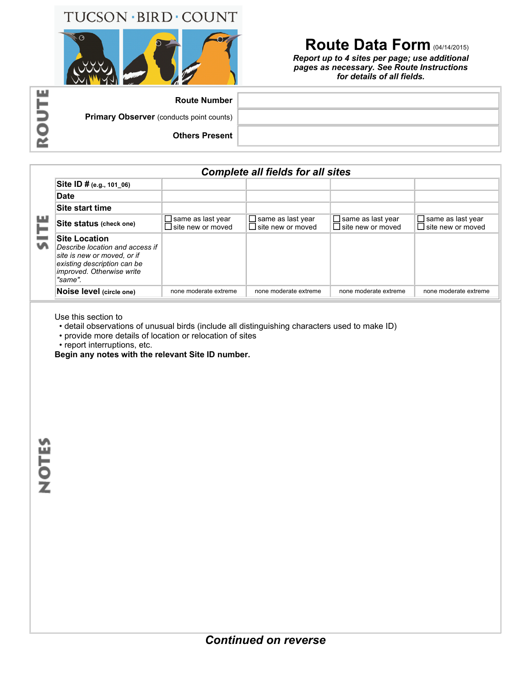## TUCSON · BIRD · COUNT



## **Route Data Form** (04/14/2015)

*Report up to 4 sites per page; use additional pages as necessary. See Route Instructions for details of all fields.*

| ᆈ | <b>Route Number</b>                             |  |
|---|-------------------------------------------------|--|
|   | <b>Primary Observer</b> (conducts point counts) |  |
|   | <b>Others Present</b>                           |  |
|   |                                                 |  |

## *Complete all fields for all sites*

|              | Site ID # (e.g., 101_06)                                                                                                                                      |                                                      |                                                      |                                                      |                                                      |  |
|--------------|---------------------------------------------------------------------------------------------------------------------------------------------------------------|------------------------------------------------------|------------------------------------------------------|------------------------------------------------------|------------------------------------------------------|--|
| <b>SILIS</b> | <b>Date</b>                                                                                                                                                   |                                                      |                                                      |                                                      |                                                      |  |
|              | Site start time                                                                                                                                               |                                                      |                                                      |                                                      |                                                      |  |
|              | Site status (check one)                                                                                                                                       | $\Box$ same as last year<br>$\Box$ site new or moved | $\Box$ same as last year<br>$\Box$ site new or moved | $\Box$ same as last year<br>$\Box$ site new or moved | $\Box$ same as last year<br>$\Box$ site new or moved |  |
|              | <b>Site Location</b><br>Describe location and access if<br>site is new or moved, or if<br>existing description can be<br>improved. Otherwise write<br>"same". |                                                      |                                                      |                                                      |                                                      |  |
|              | Noise level (circle one)                                                                                                                                      | none moderate extreme                                | none moderate extreme                                | none moderate extreme                                | none moderate extreme                                |  |

Use this section to

• detail observations of unusual birds (include all distinguishing characters used to make ID)

• provide more details of location or relocation of sites

• report interruptions, etc.

**Begin any notes with the relevant Site ID number.**

**NOTES** 

ı

п